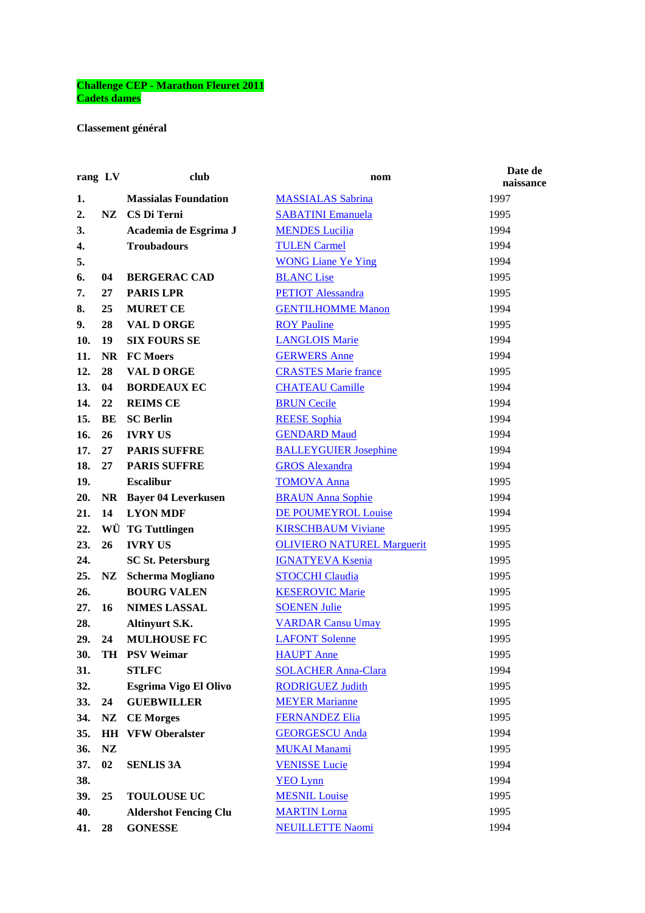## **Challenge CEP - Marathon Fleuret 2011 Cadets dames**

## **Classement général**

| rang LV |           | club                         | nom                               | Date de<br>naissance |
|---------|-----------|------------------------------|-----------------------------------|----------------------|
| 1.      |           | <b>Massialas Foundation</b>  | <b>MASSIALAS Sabrina</b>          | 1997                 |
| 2.      | NZ.       | CS Di Terni                  | <b>SABATINI Emanuela</b>          | 1995                 |
| 3.      |           | Academia de Esgrima J        | <b>MENDES Lucilia</b>             | 1994                 |
| 4.      |           | <b>Troubadours</b>           | <b>TULEN Carmel</b>               | 1994                 |
| 5.      |           |                              | <b>WONG Liane Ye Ying</b>         | 1994                 |
| 6.      | 04        | <b>BERGERAC CAD</b>          | <b>BLANC</b> Lise                 | 1995                 |
| 7.      | 27        | <b>PARIS LPR</b>             | <b>PETIOT</b> Alessandra          | 1995                 |
| 8.      | 25        | <b>MURET CE</b>              | <b>GENTILHOMME Manon</b>          | 1994                 |
| 9.      | 28        | <b>VAL D ORGE</b>            | <b>ROY Pauline</b>                | 1995                 |
| 10.     | 19        | <b>SIX FOURS SE</b>          | <b>LANGLOIS Marie</b>             | 1994                 |
| 11.     | <b>NR</b> | <b>FC</b> Moers              | <b>GERWERS Anne</b>               | 1994                 |
| 12.     | 28        | <b>VAL D ORGE</b>            | <b>CRASTES Marie france</b>       | 1995                 |
| 13.     | 04        | <b>BORDEAUX EC</b>           | <b>CHATEAU Camille</b>            | 1994                 |
| 14.     | 22        | <b>REIMS CE</b>              | <b>BRUN Cecile</b>                | 1994                 |
| 15.     | BE        | <b>SC Berlin</b>             | <b>REESE Sophia</b>               | 1994                 |
| 16.     | 26        | <b>IVRY US</b>               | <b>GENDARD Maud</b>               | 1994                 |
| 17.     | 27        | <b>PARIS SUFFRE</b>          | <b>BALLEYGUIER Josephine</b>      | 1994                 |
| 18.     | 27        | <b>PARIS SUFFRE</b>          | <b>GROS</b> Alexandra             | 1994                 |
| 19.     |           | <b>Escalibur</b>             | <b>TOMOVA Anna</b>                | 1995                 |
| 20.     | NR        | <b>Bayer 04 Leverkusen</b>   | <b>BRAUN Anna Sophie</b>          | 1994                 |
| 21.     | 14        | <b>LYON MDF</b>              | <b>DE POUMEYROL Louise</b>        | 1994                 |
| 22.     |           | WÜ TG Tuttlingen             | <b>KIRSCHBAUM Viviane</b>         | 1995                 |
| 23.     | 26        | <b>IVRY US</b>               | <b>OLIVIERO NATUREL Marguerit</b> | 1995                 |
| 24.     |           | <b>SC St. Petersburg</b>     | <b>IGNATYEVA Ksenia</b>           | 1995                 |
| 25.     | NZ        | <b>Scherma Mogliano</b>      | <b>STOCCHI Claudia</b>            | 1995                 |
| 26.     |           | <b>BOURG VALEN</b>           | <b>KESEROVIC Marie</b>            | 1995                 |
| 27.     | 16        | <b>NIMES LASSAL</b>          | <b>SOENEN Julie</b>               | 1995                 |
| 28.     |           | Altinyurt S.K.               | <b>VARDAR Cansu Umay</b>          | 1995                 |
| 29.     | 24        | <b>MULHOUSE FC</b>           | <b>LAFONT Solenne</b>             | 1995                 |
| 30.     |           | TH PSV Weimar                | <b>HAUPT</b> Anne                 | 1995                 |
| 31.     |           | <b>STLFC</b>                 | <b>SOLACHER Anna-Clara</b>        | 1994                 |
| 32.     |           | Esgrima Vigo El Olivo        | <b>RODRIGUEZ Judith</b>           | 1995                 |
| 33.     | 24        | <b>GUEBWILLER</b>            | <b>MEYER Marianne</b>             | 1995                 |
| 34.     | NZ        | <b>CE Morges</b>             | <b>FERNANDEZ Elia</b>             | 1995                 |
| 35.     | <b>HH</b> | <b>VFW Oberalster</b>        | <b>GEORGESCU Anda</b>             | 1994                 |
| 36.     | NZ        |                              | <b>MUKAI Manami</b>               | 1995                 |
| 37.     | 02        | <b>SENLIS 3A</b>             | <b>VENISSE Lucie</b>              | 1994                 |
| 38.     |           |                              | <b>YEO Lynn</b>                   | 1994                 |
| 39.     | 25        | <b>TOULOUSE UC</b>           | <b>MESNIL Louise</b>              | 1995                 |
| 40.     |           | <b>Aldershot Fencing Clu</b> | <b>MARTIN Lorna</b>               | 1995                 |
| 41.     | 28        | <b>GONESSE</b>               | <b>NEUILLETTE Naomi</b>           | 1994                 |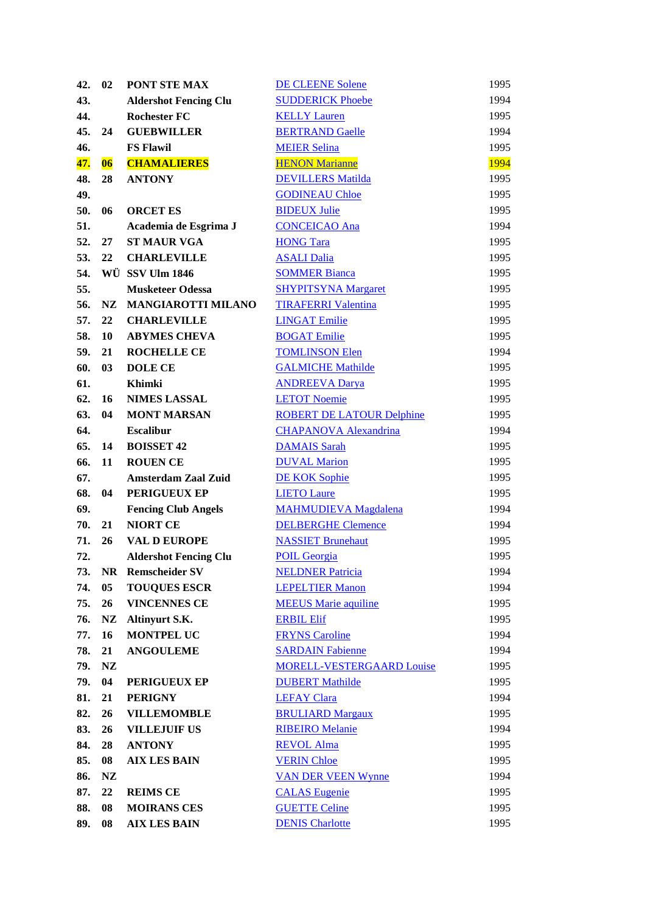| 42. | 02        | PONT STE MAX                                          | <b>DE CLEENE Solene</b>                         | 1995         |
|-----|-----------|-------------------------------------------------------|-------------------------------------------------|--------------|
| 43. |           | <b>Aldershot Fencing Clu</b>                          | <b>SUDDERICK Phoebe</b>                         | 1994         |
| 44. |           | <b>Rochester FC</b>                                   | <b>KELLY Lauren</b>                             | 1995         |
| 45. | 24        | <b>GUEBWILLER</b>                                     | <b>BERTRAND Gaelle</b>                          | 1994         |
| 46. |           | <b>FS Flawil</b>                                      | <b>MEIER Selina</b>                             | 1995         |
| 47. | 06        | <b>CHAMALIERES</b>                                    | <b>HENON Marianne</b>                           | <b>1994</b>  |
| 48. | 28        | <b>ANTONY</b>                                         | <b>DEVILLERS Matilda</b>                        | 1995         |
| 49. |           |                                                       | <b>GODINEAU Chloe</b>                           | 1995         |
| 50. | 06        | <b>ORCET ES</b>                                       | <b>BIDEUX Julie</b>                             | 1995         |
| 51. |           | Academia de Esgrima J                                 | <b>CONCEICAO Ana</b>                            | 1994         |
| 52. | 27        | <b>ST MAUR VGA</b>                                    | <b>HONG Tara</b>                                | 1995         |
| 53. | 22        | <b>CHARLEVILLE</b>                                    | <b>ASALI Dalia</b>                              | 1995         |
| 54. |           | WÜ SSV Ulm 1846                                       | <b>SOMMER Bianca</b>                            | 1995         |
| 55. |           | <b>Musketeer Odessa</b>                               | <b>SHYPITSYNA Margaret</b>                      | 1995         |
| 56. | NZ        | <b>MANGIAROTTI MILANO</b>                             | <b>TIRAFERRI Valentina</b>                      | 1995         |
| 57. | 22        | <b>CHARLEVILLE</b>                                    | <b>LINGAT Emilie</b>                            | 1995         |
| 58. | 10        | <b>ABYMES CHEVA</b>                                   | <b>BOGAT Emilie</b>                             | 1995         |
| 59. | 21        | <b>ROCHELLE CE</b>                                    | <b>TOMLINSON Elen</b>                           | 1994         |
| 60. | 03        | <b>DOLE CE</b>                                        | <b>GALMICHE Mathilde</b>                        | 1995         |
| 61. |           | Khimki                                                | <b>ANDREEVA Darya</b>                           | 1995         |
| 62. | 16        | <b>NIMES LASSAL</b>                                   | <b>LETOT Noemie</b>                             | 1995         |
| 63. | 04        | <b>MONT MARSAN</b>                                    | <b>ROBERT DE LATOUR Delphine</b>                | 1995         |
| 64. |           | <b>Escalibur</b>                                      | <b>CHAPANOVA Alexandrina</b>                    | 1994         |
| 65. | 14        | <b>BOISSET 42</b>                                     | <b>DAMAIS Sarah</b>                             | 1995         |
| 66. | 11        | <b>ROUEN CE</b>                                       | <b>DUVAL Marion</b>                             | 1995         |
| 67. |           | <b>Amsterdam Zaal Zuid</b>                            | <b>DE KOK Sophie</b>                            | 1995         |
| 68. | 04        | PERIGUEUX EP                                          | <b>LIETO Laure</b>                              | 1995         |
| 69. |           | <b>Fencing Club Angels</b>                            | <b>MAHMUDIEVA Magdalena</b>                     | 1994         |
| 70. | 21        | <b>NIORT CE</b>                                       | <b>DELBERGHE Clemence</b>                       | 1994         |
| 71. | 26        | <b>VAL D EUROPE</b>                                   |                                                 |              |
| 72. |           |                                                       | <b>NASSIET Brunehaut</b><br><b>POIL Georgia</b> | 1995<br>1995 |
|     |           | <b>Aldershot Fencing Clu</b><br><b>Remscheider SV</b> | <b>NELDNER Patricia</b>                         |              |
| 73. | <b>NR</b> | <b>TOUQUES ESCR</b>                                   |                                                 | 1994         |
| 74. | 05        |                                                       | <b>LEPELTIER Manon</b>                          | 1994         |
| 75. | 26        | <b>VINCENNES CE</b>                                   | <b>MEEUS</b> Marie aquiline                     | 1995         |
| 76. | NZ        | Altinyurt S.K.                                        | <b>ERBIL Elif</b>                               | 1995         |
| 77. | 16        | <b>MONTPEL UC</b>                                     | <b>FRYNS</b> Caroline                           | 1994         |
| 78. | 21        | <b>ANGOULEME</b>                                      | <b>SARDAIN Fabienne</b>                         | 1994         |
| 79. | NZ        |                                                       | <b>MORELL-VESTERGAARD Louise</b>                | 1995         |
| 79. | 04        | PERIGUEUX EP                                          | <b>DUBERT Mathilde</b>                          | 1995         |
| 81. | 21        | <b>PERIGNY</b>                                        | <b>LEFAY Clara</b>                              | 1994         |
| 82. | 26        | <b>VILLEMOMBLE</b>                                    | <b>BRULIARD Margaux</b>                         | 1995         |
| 83. | 26        | <b>VILLEJUIF US</b>                                   | <b>RIBEIRO</b> Melanie                          | 1994         |
| 84. | 28        | <b>ANTONY</b>                                         | <b>REVOL Alma</b>                               | 1995         |
| 85. | 08        | <b>AIX LES BAIN</b>                                   | <b>VERIN Chloe</b>                              | 1995         |
| 86. | NZ        |                                                       | <b>VAN DER VEEN Wynne</b>                       | 1994         |
| 87. | 22        | <b>REIMS CE</b>                                       | <b>CALAS</b> Eugenie                            | 1995         |
| 88. | 08        | <b>MOIRANS CES</b>                                    | <b>GUETTE Celine</b>                            | 1995         |
| 89. | 08        | <b>AIX LES BAIN</b>                                   | <b>DENIS Charlotte</b>                          | 1995         |